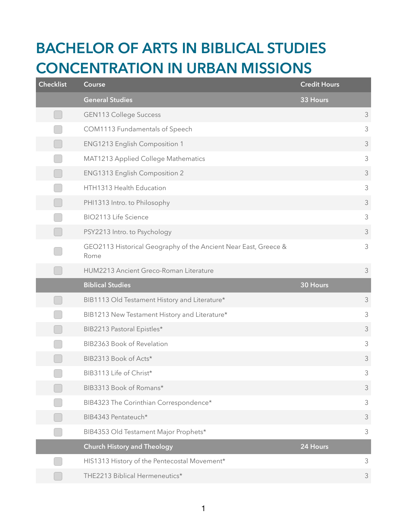## **BACHELOR OF ARTS IN BIBLICAL STUDIES CONCENTRATION IN URBAN MISSIONS**

| <b>Checklist</b> | Course                                                                  | <b>Credit Hours</b> |                |
|------------------|-------------------------------------------------------------------------|---------------------|----------------|
|                  | <b>General Studies</b>                                                  | 33 Hours            |                |
|                  | <b>GEN113 College Success</b>                                           |                     | 3              |
|                  | COM1113 Fundamentals of Speech                                          |                     | 3              |
|                  | ENG1213 English Composition 1                                           |                     | $\mathfrak{Z}$ |
|                  | MAT1213 Applied College Mathematics                                     |                     | $\mathfrak{Z}$ |
|                  | ENG1313 English Composition 2                                           |                     | $\mathfrak{Z}$ |
|                  | HTH1313 Health Education                                                |                     | 3              |
|                  | PHI1313 Intro. to Philosophy                                            |                     | $\mathfrak{Z}$ |
|                  | BIO2113 Life Science                                                    |                     | 3              |
|                  | PSY2213 Intro. to Psychology                                            |                     | 3              |
|                  | GEO2113 Historical Geography of the Ancient Near East, Greece &<br>Rome |                     | $\mathfrak{Z}$ |
|                  | HUM2213 Ancient Greco-Roman Literature                                  |                     | $\mathfrak{Z}$ |
|                  |                                                                         |                     |                |
|                  | <b>Biblical Studies</b>                                                 | 30 Hours            |                |
|                  | BIB1113 Old Testament History and Literature*                           |                     | 3              |
|                  | BIB1213 New Testament History and Literature*                           |                     | $\mathfrak{Z}$ |
|                  | BIB2213 Pastoral Epistles*                                              |                     | $\mathfrak{Z}$ |
|                  | BIB2363 Book of Revelation                                              |                     | 3              |
|                  | BIB2313 Book of Acts*                                                   |                     | $\mathfrak{Z}$ |
|                  | BIB3113 Life of Christ*                                                 |                     | $\mathfrak{Z}$ |
|                  | BIB3313 Book of Romans*                                                 |                     | 3              |
|                  | BIB4323 The Corinthian Correspondence*                                  |                     | $\mathfrak{Z}$ |
|                  | BIB4343 Pentateuch*                                                     |                     | $\mathfrak{Z}$ |
|                  | BIB4353 Old Testament Major Prophets*                                   |                     | $\mathfrak{Z}$ |
|                  | <b>Church History and Theology</b>                                      | 24 Hours            |                |
|                  | HIS1313 History of the Pentecostal Movement*                            |                     | $\mathfrak{Z}$ |